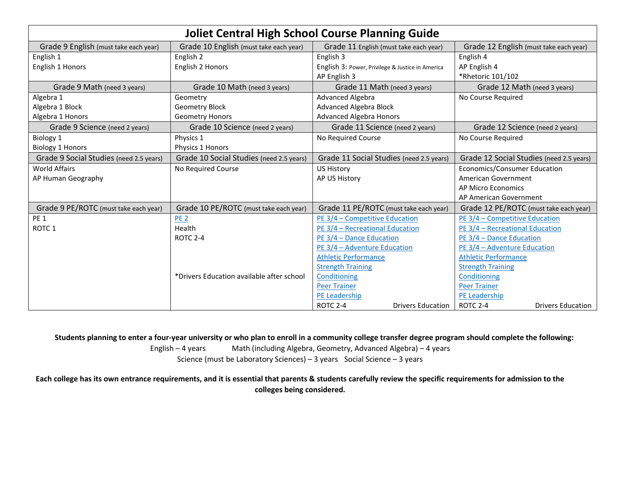| <b>Joliet Central High School Course Planning Guide</b> |                                           |                                                  |                                          |  |  |
|---------------------------------------------------------|-------------------------------------------|--------------------------------------------------|------------------------------------------|--|--|
| Grade 9 English (must take each year)                   | Grade 10 English (must take each year)    | Grade 11 English (must take each year)           | Grade 12 English (must take each year)   |  |  |
| English 1                                               | English 2                                 | English 3                                        | English 4                                |  |  |
| English 1 Honors                                        | English 2 Honors                          | English 3: Power, Privilege & Justice in America | AP English 4                             |  |  |
|                                                         |                                           | AP English 3                                     | *Rhetoric 101/102                        |  |  |
| Grade 9 Math (need 3 years)                             | Grade 10 Math (need 3 years)              | Grade 11 Math (need 3 years)                     | Grade 12 Math (need 3 years)             |  |  |
| Algebra 1                                               | Geometry                                  | <b>Advanced Algebra</b>                          | No Course Required                       |  |  |
| Algebra 1 Block                                         | <b>Geometry Block</b>                     | <b>Advanced Algebra Block</b>                    |                                          |  |  |
| Algebra 1 Honors                                        | <b>Geometry Honors</b>                    | <b>Advanced Algebra Honors</b>                   |                                          |  |  |
| Grade 9 Science (need 2 years)                          | Grade 10 Science (need 2 years)           | Grade 11 Science (need 2 years)                  | Grade 12 Science (need 2 years)          |  |  |
| Biology 1                                               | Physics 1                                 | No Required Course                               | No Course Required                       |  |  |
| <b>Biology 1 Honors</b>                                 | Physics 1 Honors                          |                                                  |                                          |  |  |
| Grade 9 Social Studies (need 2.5 years)                 | Grade 10 Social Studies (need 2.5 years)  | Grade 11 Social Studies (need 2.5 years)         | Grade 12 Social Studies (need 2.5 years) |  |  |
| <b>World Affairs</b>                                    | No Required Course                        | <b>US History</b>                                | <b>Economics/Consumer Education</b>      |  |  |
| AP Human Geography                                      |                                           | AP US History                                    | American Government                      |  |  |
|                                                         |                                           |                                                  | <b>AP Micro Economics</b>                |  |  |
|                                                         |                                           |                                                  | AP American Government                   |  |  |
| Grade 9 PE/ROTC (must take each year)                   | Grade 10 PE/ROTC (must take each year)    | Grade 11 PE/ROTC (must take each year)           | Grade 12 PE/ROTC (must take each year)   |  |  |
| PE <sub>1</sub>                                         | PE <sub>2</sub>                           | PE 3/4 - Competitive Education                   | PE 3/4 - Competitive Education           |  |  |
| ROTC <sub>1</sub>                                       | Health                                    | PE 3/4 - Recreational Education                  | PE 3/4 - Recreational Education          |  |  |
|                                                         | <b>ROTC 2-4</b>                           | PE 3/4 - Dance Education                         | PE 3/4 - Dance Education                 |  |  |
|                                                         |                                           | PE 3/4 - Adventure Education                     | PE 3/4 - Adventure Education             |  |  |
|                                                         |                                           | <b>Athletic Performance</b>                      | <b>Athletic Performance</b>              |  |  |
|                                                         |                                           | <b>Strength Training</b>                         | <b>Strength Training</b>                 |  |  |
|                                                         | *Drivers Education available after school | Conditioning                                     | Conditioning                             |  |  |
|                                                         |                                           | <b>Peer Trainer</b>                              | <b>Peer Trainer</b>                      |  |  |
|                                                         |                                           | PE Leadership                                    | PE Leadership                            |  |  |
|                                                         |                                           | ROTC 2-4<br><b>Drivers Education</b>             | ROTC 2-4<br><b>Drivers Education</b>     |  |  |

**Students planning to enter a four-year university or who plan to enroll in a community college transfer degree program should complete the following:**

English – 4 years Math (including Algebra, Geometry, Advanced Algebra) – 4 years Science (must be Laboratory Sciences) – 3 years Social Science – 3 years

**Each college has its own entrance requirements, and it is essential that parents & students carefully review the specific requirements for admission to the colleges being considered.**